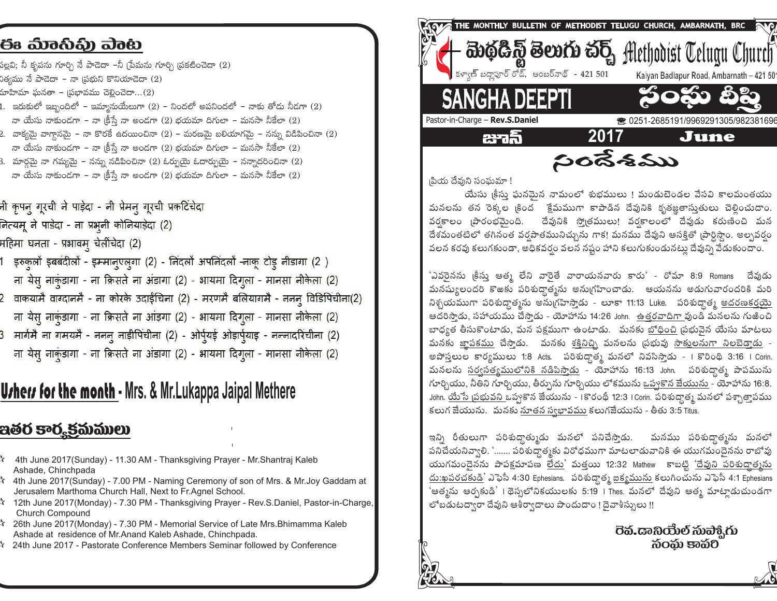## ಈ ಮಾನಿಫಿ) ವಾಟ

పల్లవి; నీ కృపను గూర్చి నే పాడెదా –నీ [పేమను గూర్చి (పకటించెదా (2) )త్వము నే పాడెదా – నా <sub>l</sub>పభుని కొనియాడెదా (2)

- రూహిమా ఘనతా <sub>l</sub>పభావము చెల్లించెదా...(2)
- .<br>1. ఇరుకులో ఇబ్బందిలో ఇమ్మానుయేలుగా (2) నిందలో అపనిందలో నాకు తోడు నీడగా (2) నా యేసు నాకుండగా – నా క్రీస్తే నా అండగా (2) భయమా దిగులా – మనసా నీకేలా (2)
- .<br>2. వాక్యమై వాగ్తానమై నా కొరకే ఉదయించినా (2) మరణమై బలియాగమై నన్ను విడిపించినా (2) నా యేసు నాకుండగా – నా క్రీస్తే నా అండగా (2) భయమా దిగులా – మనసా నీకేలా (2)
- 3. మార్గమై నా గమ్యమై నన్ను నడిపించినా (2) ఓర్పుయై ఓదార్పుయై నన్నాదరించినా (2) నా యేసు నాకుండగా – నా (కీస్తే నా అండగా (2) భయమా దిగులా – మనసా నీకేలా (2)
- नी कृपन् गूरची ने पाड़ेदा नी प्रेमन् गूरची प्रकटिंचेद<mark>ा</mark>
- नित्यम् ने पाडेदा ना प्रभृनी कोनियाड़ेदा (2)
- महिमा घनता प्रभावम् चेलींचेदा (2)
- .<br>1 इरुकुलों इबबंदीलों इम्मान्एल्गा (2) निंदलों अपनिंदलों -नाकू टोड् नीडागा (2 )
- ना येस् नाकुंडागा ना क्रिसते ना अंडागा (2) भायमा दिगूला मानसा नीकेला (2)
- .<br>2 वाकयामै वाग्दानमै ना कोरके उदाईचिना (2) मरणमै बलियागमै ननन् विडिपिंचीना(2) ना येस् नाकुंडागा - ना क्रिसते ना आंड़गा (2) - भायमा दिगूला - मानसा नीकेला (2)
- 3 मार्गमै ना गमयमै ननन् नाड़ीपिंचीना (2) ओर्प्यई ओड़ार्प्याइ नन्नादरिंचीना (2)
- ना येस् नाकुंडागा ना क्रिसते ना अंडागा (2) भायमा दिगूला मानसा नीकेला (2)

# **Urhers for the month** - Mrs. & Mr. Lukappa Jaipal Methere

## ఇతర కార్మకమములు

- 4 4th June 2017(Sunday) 11.30 AM Thanksgiving Prayer Mr.Shantraj Kaleb Ashade, Chinchpada
- $\lambda$  4th June 2017(Sunday) 7.00 PM Naming Ceremony of son of Mrs. & Mr.Joy Gaddam at Jerusalem Marthoma Church Hall, Next to Fr.Agnel School.
- $\star$  12th June 2017(Monday) 7.30 PM Thanksgiving Prayer Rev.S.Daniel, Pastor-in-Charge, Church Compound
- $\lambda$  26th June 2017(Monday) 7.30 PM Memorial Service of Late Mrs. Bhimamma Kaleb Ashade at residence of Mr. Anand Kaleb Ashade, Chinchpada.
- 24th June 2017 Pastorate Conference Members Seminar followed by Conference



|పియ దేవుని సంఘమా !

యేసు <sub>(</sub>కీసు ఘనమైన నామంలో శుభములు ! మండుటెండల వేసవి కాలమంతయు మనలను తన రెక్కల (కింద క్రేమముగా కాపాడిన దేవునికి కృతజ్ఞతాసుతులు చెల్లించుదాం. వర్షకాలం (పారంభమైంది. దేవునికి స్మోతములు! వర్షకాలంలో దేవుడు కరుణించి మన దేశమంతటిలో తగినంత వర్షపాతమునిచ్చును గాక! మనము దేవుని ఆసక్తితో (పార్ధిస్తాం. అల్పవర్షం వలన కరవు కలుగకుండా, అధికవర్షం వలన నష్టం హాని కలుగుకుండునటు దేవుని వేడుకుందాం.

'ఎవరైనను <sub>l</sub>కీసు ఆత్మ లేని వారైతే వారాయనవారు కారు' - రోమా 8:9 Romans - దేవుడు మనష్యులందరి కొఱకు పరిశుద్ధాత్మను అనుగ్రహించాడు. ఆయనను అడుగువారందరికి మరి నిశ్చయముగా పరిశుద్ధాత్మను అను(గహిస్తాడు - లూకా 11:13 Luke. పరిశుద్ధాత్మ <u>అదరణకర్షయ</u>ె ఆదరిస్తాడు, సహాయము చేస్తాడు - యోహాను 14:26 John. <u>ఉత్తరవాదిగా వుం</u>డి మనలను గుఱించి బాధ్యత తీసుకొంటాడు, మన పక్షముగా ఉంటాడు. మనకు బోధించి ప్రభువైన యేసు మాటలు మనకు <u>జాపకము</u> చేసాడు. మనకు <u>శక్తినిని</u> మనలను ప్రభువు <u>సాక్తులనుగా నిలబెడాడు</u> -అపోసలుల కార్యములు 1:8 Acts. పరిశుద్ధాత్మ మనలో నివసిస్తాడు - I కొరింథి 3:16 I Corin. మనలను <u>సర్వసత్యములోనికి నడిపిస్తాడు</u> - యోహాను 16:13 John. పరిశుద్ధాత్మ పాపమును గూర్చియు, నీతిని గూర్చియు, తీర్పును గూర్చియు లోకమును <u>ఒప్పకొన జేయును</u> - యోహాను 16:8. John. యేసే <u>1పభువని ఒ</u>ప్పుకొన జేయును - 1కొరంథీ 12:3 I Corin. పరిశుద్ధాత్మ మనలో పశ్చాత్తాపము కలుగ జేయును. మనకు నూతన స్వభావము కలుగజేయును - తీతు 3:5 Titus.

ఇన్ని రీతులుగా పరిశుద్దాత్ముడు మనలో పనిచేస్తాడు. మనము పరిశుద్ధాత్మను మనలో పనిచేయనివ్వాలి. '……. పరిశుద్ధాత్మకు విరోధముగా మాటలాడువానికి ఈ యుగమందైనను రాబోవు యుగమందెనను పాపక్షమాపణ లేదు' మత్తయి 12:32 Mathew కాబట్టి 'దేవుని పరిశుద్ధాత్మను  $\Delta$ :ఖపరచకుడి' ఎఫెసీ 4:30 Ephesians. పరిశుద్ధాత్మ <u>ఐక్యమును</u> కలుగించును ఎఫెసీ 4:1 Ephesians 'ఆత్మను ఆర్చకుడి' । థెస్సలోనికయులకు 5:19 । Thes. మనలో దేవుని ఆత్మ మాటాౖడుచుండగా లోబడుటద్వారా దేవుని ఆశీర్వాదాలు పొందుదాం ! దెవాశీస్సులు !!

> බිරකා තෙන්ව